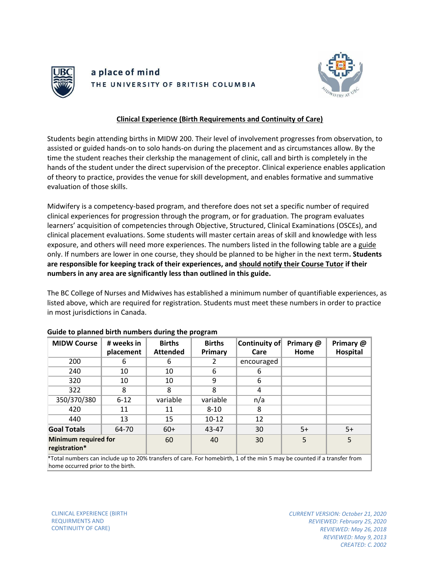

## a place of mind THE UNIVERSITY OF BRITISH COLUMBIA



## **Clinical Experience (Birth Requirements and Continuity of Care)**

Students begin attending births in MIDW 200. Their level of involvement progresses from observation, to assisted or guided hands-on to solo hands-on during the placement and as circumstances allow. By the time the student reaches their clerkship the management of clinic, call and birth is completely in the hands of the student under the direct supervision of the preceptor. Clinical experience enables application of theory to practice, provides the venue for skill development, and enables formative and summative evaluation of those skills.

Midwifery is a competency-based program, and therefore does not set a specific number of required clinical experiences for progression through the program, or for graduation. The program evaluates learners' acquisition of competencies through Objective, Structured, Clinical Examinations (OSCEs), and clinical placement evaluations. Some students will master certain areas of skill and knowledge with less exposure, and others will need more experiences. The numbers listed in the following table are a guide only. If numbers are lower in one course, they should be planned to be higher in the next term**. Students are responsible for keeping track of their experiences, and should notify their Course Tutor if their numbers in any area are significantly less than outlined in this guide.**

The BC College of Nurses and Midwives has established a minimum number of quantifiable experiences, as listed above, which are required for registration. Students must meet these numbers in order to practice in most jurisdictions in Canada.

| <b>MIDW Course</b>                                                                                                      | # weeks in<br>placement | <b>Births</b><br><b>Attended</b> | <b>Births</b><br>Primary | Continuity of<br>Care | Primary @<br>Home | Primary @<br>Hospital |
|-------------------------------------------------------------------------------------------------------------------------|-------------------------|----------------------------------|--------------------------|-----------------------|-------------------|-----------------------|
|                                                                                                                         |                         |                                  |                          |                       |                   |                       |
| 200                                                                                                                     | 6                       | 6                                | 2                        | encouraged            |                   |                       |
| 240                                                                                                                     | 10                      | 10                               | 6                        | 6                     |                   |                       |
| 320                                                                                                                     | 10                      | 10                               | 9                        | 6                     |                   |                       |
| 322                                                                                                                     | 8                       | 8                                | 8                        | 4                     |                   |                       |
| 350/370/380                                                                                                             | $6 - 12$                | variable                         | variable                 | n/a                   |                   |                       |
| 420                                                                                                                     | 11                      | 11                               | $8 - 10$                 | 8                     |                   |                       |
| 440                                                                                                                     | 13                      | 15                               | $10-12$                  | 12                    |                   |                       |
| <b>Goal Totals</b>                                                                                                      | 64-70                   | $60+$                            | 43-47                    | 30                    | $5+$              | $5+$                  |
| <b>Minimum required for</b><br>registration*                                                                            |                         | 60                               | 40                       | 30                    | 5                 | 5                     |
| *Total numbers can include up to 20% transfers of care. For homebirth, 1 of the min 5 may be counted if a transfer from |                         |                                  |                          |                       |                   |                       |

## **Guide to planned birth numbers during the program**

\*Total numbers can include up to 20% transfers of care. For homebirth, 1 of the min 5 may be counted if a transfer from home occurred prior to the birth.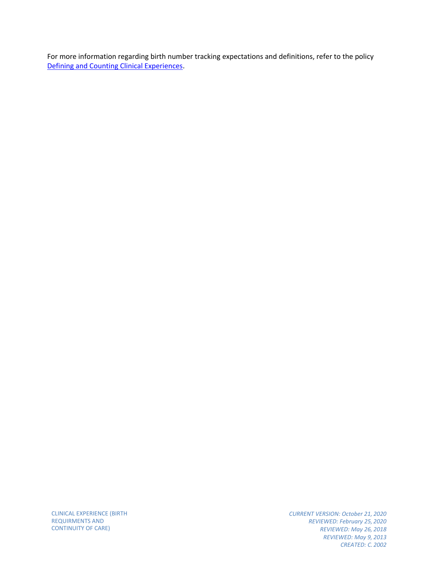CLINICAL EXPERIENCE (BIRTH REQUIRMENTS AND CONTINUITY OF CARE)

*CURRENT VERSION: October 21, 2020 REVIEWED: February 25, 2020 REVIEWED: May 26, 2018 REVIEWED: May 9, 2013 CREATED: C. 2002*

For more information regarding birth number tracking expectations and definitions, refer to the policy [Defining and Counting Clinical Experiences.](https://med-fom-midwifery.sites.olt.ubc.ca/files/2021/10/Defining-and-Counting-Clinical-Experience2.pdf)